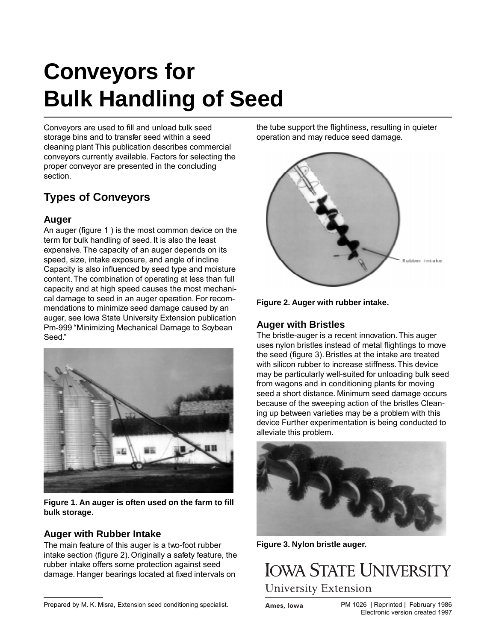# **Conveyors for Bulk Handling of Seed**

Conveyors are used to fill and unload bulk seed storage bins and to transfer seed within a seed cleaning plant This publication describes commercial conveyors currently available. Factors for selecting the proper conveyor are presented in the concluding section.

## **Types of Conveyors**

#### **Auger**

An auger (figure 1 ) is the most common device on the term for bulk handling of seed. It is also the least expensive. The capacity of an auger depends on its speed, size, intake exposure, and angle of incline Capacity is also influenced by seed type and moisture content. The combination of operating at less than full capacity and at high speed causes the most mechanical damage to seed in an auger operation. For recommendations to minimize seed damage caused by an auger, see lowa State University Extension publication Pm-999 "Minimizing Mechanical Damage to Soybean Seed."



**Figure 1. An auger is often used on the farm to fill bulk storage.**

#### **Auger with Rubber Intake**

The main feature of this auger is a two-foot rubber intake section (figure 2). Originally a safety feature, the rubber intake offers some protection against seed damage. Hanger bearings located at fixed intervals on

Prepared by M. K. Misra, Extension seed conditioning specialist.

the tube support the flightiness, resulting in quieter operation and may reduce seed damage.





#### **Auger with Bristles**

The bristle-auger is a recent innovation. This auger uses nylon bristles instead of metal flightings to move the seed (figure 3). Bristles at the intake are treated with silicon rubber to increase stiffness. This device may be particularly well-suited for unloading bulk seed from wagons and in conditioning plants for moving seed a short distance. Minimum seed damage occurs because of the sweeping action of the bristles Cleaning up between varieties may be a problem with this device Further experimentation is being conducted to alleviate this problem.



**Figure 3. Nylon bristle auger.**



Ames, Iowa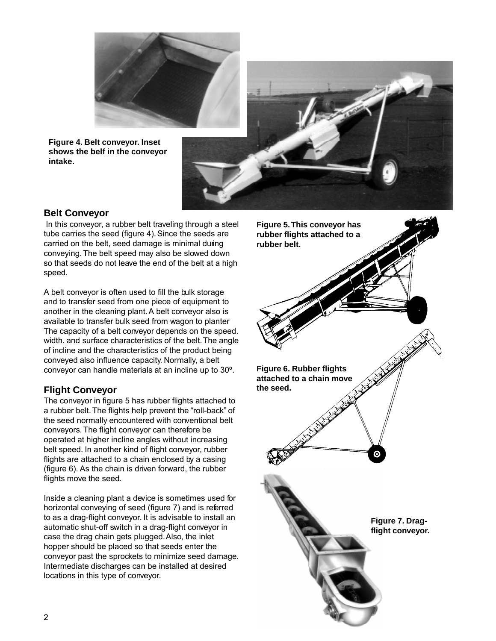

**Figure 4. Belt conveyor. Inset shows the belf in the conveyor intake.**



#### **Belt Conveyor**

In this conveyor, a rubber belt traveling through a steel tube carries the seed (figure 4). Since the seeds are carried on the belt, seed damage is minimal during conveying. The belt speed may also be slowed down so that seeds do not leave the end of the belt at a high speed.

A belt conveyor is often used to fill the bulk storage and to transfer seed from one piece of equipment to another in the cleaning plant. A belt conveyor also is available to transfer bulk seed from wagon to planter The capacity of a belt conveyor depends on the speed. width. and surface characteristics of the belt. The angle of incline and the characteristics of the product being conveyed also influence capacity. Normally, a belt conveyor can handle materials at an incline up to 30º.

#### **Flight Conveyor**

The conveyor in figure 5 has rubber flights attached to a rubber belt. The flights help prevent the "roll-back" of the seed normally encountered with conventional belt conveyors. The flight conveyor can therefore be operated at higher incline angles without increasing belt speed. In another kind of flight conveyor, rubber flights are attached to a chain enclosed by a casing (figure 6). As the chain is driven forward, the rubber flights move the seed.

Inside a cleaning plant a device is sometimes used for horizontal conveying of seed (figure 7) and is referred to as a drag-flight conveyor. It is advisable to install an automatic shut-off switch in a drag-flight conveyor in case the drag chain gets plugged. Also, the inlet hopper should be placed so that seeds enter the conveyor past the sprockets to minimize seed damage. Intermediate discharges can be installed at desired locations in this type of conveyor.

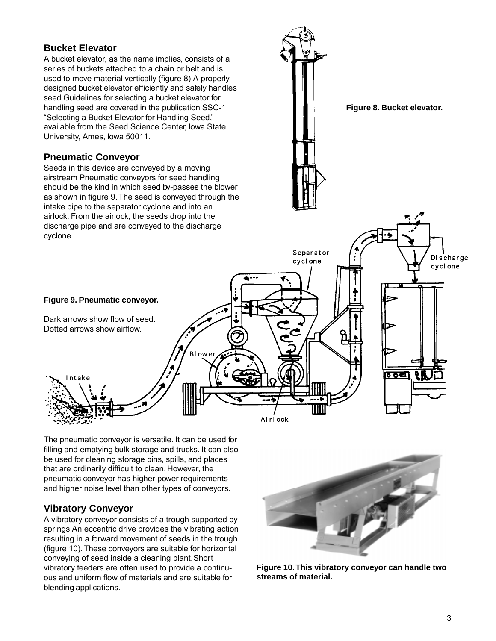#### **Bucket Elevator**

A bucket elevator, as the name implies, consists of a series of buckets attached to a chain or belt and is used to move material vertically (figure 8) A properly designed bucket elevator efficiently and safely handles seed Guidelines for selecting a bucket elevator for handling seed are covered in the publication SSC-1 "Selecting a Bucket Elevator for Handling Seed," available from the Seed Science Center, lowa State University, Ames, lowa 50011.

#### **Pneumatic Conveyor**

Seeds in this device are conveyed by a moving airstream Pneumatic conveyors for seed handling should be the kind in which seed by-passes the blower as shown in figure 9. The seed is conveyed through the intake pipe to the separator cyclone and into an airlock. From the airlock, the seeds drop into the discharge pipe and are conveyed to the discharge cyclone.





Dark arrows show flow of seed. Dotted arrows show airflow.

Intake

ত চৰ

filling and emptying bulk storage and trucks. It can also be used for cleaning storage bins, spills, and places that are ordinarily difficult to clean. However, the pneumatic conveyor has higher power requirements and higher noise level than other types of conveyors.

The pneumatic conveyor is versatile. It can be used for

BI ow e

Airlock

#### **Vibratory Conveyor**

A vibratory conveyor consists of a trough supported by springs An eccentric drive provides the vibrating action resulting in a forward movement of seeds in the trough (figure 10). These conveyors are suitable for horizontal conveying of seed inside a cleaning plant. Short vibratory feeders are often used to provide a continuous and uniform flow of materials and are suitable for blending applications.



**Figure 10. This vibratory conveyor can handle two streams of material.**